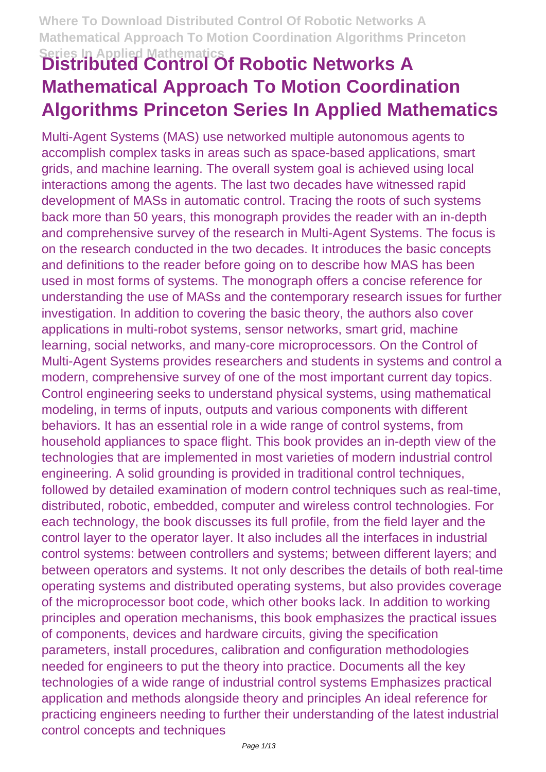# **Series In Applied Mathematics Distributed Control Of Robotic Networks A Mathematical Approach To Motion Coordination Algorithms Princeton Series In Applied Mathematics**

Multi-Agent Systems (MAS) use networked multiple autonomous agents to accomplish complex tasks in areas such as space-based applications, smart grids, and machine learning. The overall system goal is achieved using local interactions among the agents. The last two decades have witnessed rapid development of MASs in automatic control. Tracing the roots of such systems back more than 50 years, this monograph provides the reader with an in-depth and comprehensive survey of the research in Multi-Agent Systems. The focus is on the research conducted in the two decades. It introduces the basic concepts and definitions to the reader before going on to describe how MAS has been used in most forms of systems. The monograph offers a concise reference for understanding the use of MASs and the contemporary research issues for further investigation. In addition to covering the basic theory, the authors also cover applications in multi-robot systems, sensor networks, smart grid, machine learning, social networks, and many-core microprocessors. On the Control of Multi-Agent Systems provides researchers and students in systems and control a modern, comprehensive survey of one of the most important current day topics. Control engineering seeks to understand physical systems, using mathematical modeling, in terms of inputs, outputs and various components with different behaviors. It has an essential role in a wide range of control systems, from household appliances to space flight. This book provides an in-depth view of the technologies that are implemented in most varieties of modern industrial control engineering. A solid grounding is provided in traditional control techniques, followed by detailed examination of modern control techniques such as real-time, distributed, robotic, embedded, computer and wireless control technologies. For each technology, the book discusses its full profile, from the field layer and the control layer to the operator layer. It also includes all the interfaces in industrial control systems: between controllers and systems; between different layers; and between operators and systems. It not only describes the details of both real-time operating systems and distributed operating systems, but also provides coverage of the microprocessor boot code, which other books lack. In addition to working principles and operation mechanisms, this book emphasizes the practical issues of components, devices and hardware circuits, giving the specification parameters, install procedures, calibration and configuration methodologies needed for engineers to put the theory into practice. Documents all the key technologies of a wide range of industrial control systems Emphasizes practical application and methods alongside theory and principles An ideal reference for practicing engineers needing to further their understanding of the latest industrial control concepts and techniques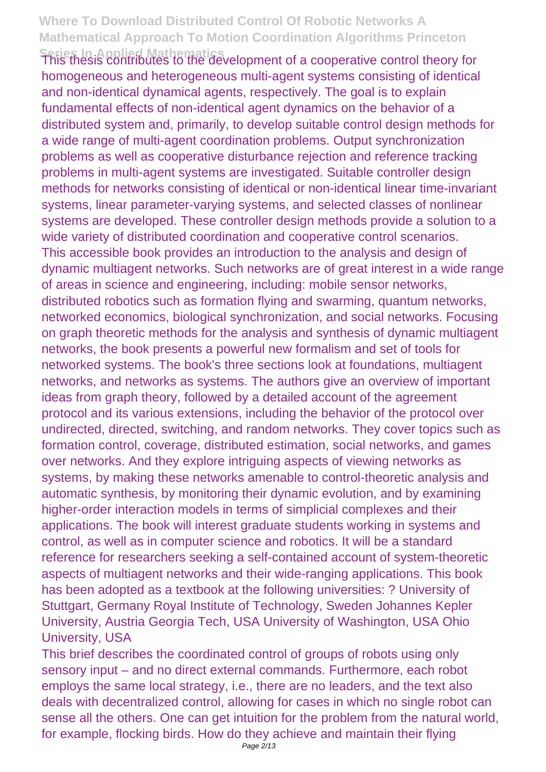**Series In Applied Mathematics**<br>This thesis contributes to the development of a cooperative control theory for homogeneous and heterogeneous multi-agent systems consisting of identical and non-identical dynamical agents, respectively. The goal is to explain fundamental effects of non-identical agent dynamics on the behavior of a distributed system and, primarily, to develop suitable control design methods for a wide range of multi-agent coordination problems. Output synchronization problems as well as cooperative disturbance rejection and reference tracking problems in multi-agent systems are investigated. Suitable controller design methods for networks consisting of identical or non-identical linear time-invariant systems, linear parameter-varying systems, and selected classes of nonlinear systems are developed. These controller design methods provide a solution to a wide variety of distributed coordination and cooperative control scenarios. This accessible book provides an introduction to the analysis and design of dynamic multiagent networks. Such networks are of great interest in a wide range of areas in science and engineering, including: mobile sensor networks, distributed robotics such as formation flying and swarming, quantum networks, networked economics, biological synchronization, and social networks. Focusing on graph theoretic methods for the analysis and synthesis of dynamic multiagent networks, the book presents a powerful new formalism and set of tools for networked systems. The book's three sections look at foundations, multiagent networks, and networks as systems. The authors give an overview of important ideas from graph theory, followed by a detailed account of the agreement protocol and its various extensions, including the behavior of the protocol over undirected, directed, switching, and random networks. They cover topics such as formation control, coverage, distributed estimation, social networks, and games over networks. And they explore intriguing aspects of viewing networks as systems, by making these networks amenable to control-theoretic analysis and automatic synthesis, by monitoring their dynamic evolution, and by examining higher-order interaction models in terms of simplicial complexes and their applications. The book will interest graduate students working in systems and control, as well as in computer science and robotics. It will be a standard reference for researchers seeking a self-contained account of system-theoretic aspects of multiagent networks and their wide-ranging applications. This book has been adopted as a textbook at the following universities: ? University of Stuttgart, Germany Royal Institute of Technology, Sweden Johannes Kepler University, Austria Georgia Tech, USA University of Washington, USA Ohio University, USA

This brief describes the coordinated control of groups of robots using only sensory input – and no direct external commands. Furthermore, each robot employs the same local strategy, i.e., there are no leaders, and the text also deals with decentralized control, allowing for cases in which no single robot can sense all the others. One can get intuition for the problem from the natural world, for example, flocking birds. How do they achieve and maintain their flying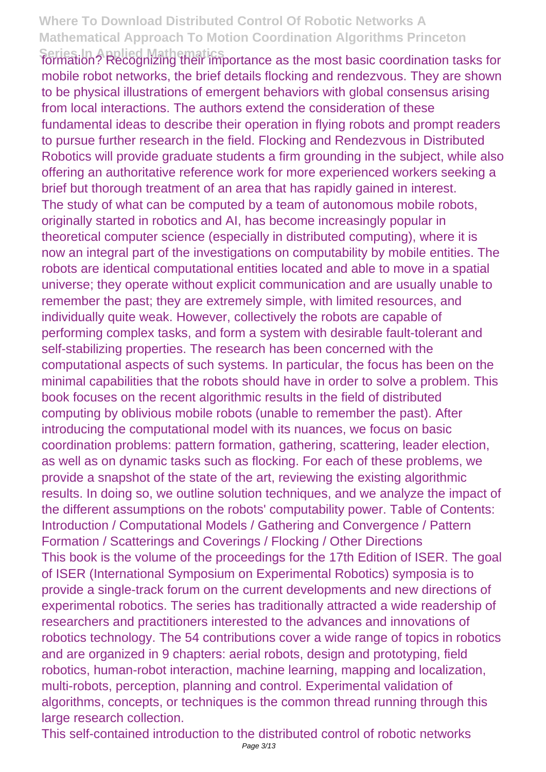**Series In Applied Mathematics** formation? Recognizing their importance as the most basic coordination tasks for mobile robot networks, the brief details flocking and rendezvous. They are shown to be physical illustrations of emergent behaviors with global consensus arising from local interactions. The authors extend the consideration of these fundamental ideas to describe their operation in flying robots and prompt readers to pursue further research in the field. Flocking and Rendezvous in Distributed Robotics will provide graduate students a firm grounding in the subject, while also offering an authoritative reference work for more experienced workers seeking a brief but thorough treatment of an area that has rapidly gained in interest. The study of what can be computed by a team of autonomous mobile robots, originally started in robotics and AI, has become increasingly popular in theoretical computer science (especially in distributed computing), where it is now an integral part of the investigations on computability by mobile entities. The robots are identical computational entities located and able to move in a spatial universe; they operate without explicit communication and are usually unable to remember the past; they are extremely simple, with limited resources, and individually quite weak. However, collectively the robots are capable of performing complex tasks, and form a system with desirable fault-tolerant and self-stabilizing properties. The research has been concerned with the computational aspects of such systems. In particular, the focus has been on the minimal capabilities that the robots should have in order to solve a problem. This book focuses on the recent algorithmic results in the field of distributed computing by oblivious mobile robots (unable to remember the past). After introducing the computational model with its nuances, we focus on basic coordination problems: pattern formation, gathering, scattering, leader election, as well as on dynamic tasks such as flocking. For each of these problems, we provide a snapshot of the state of the art, reviewing the existing algorithmic results. In doing so, we outline solution techniques, and we analyze the impact of the different assumptions on the robots' computability power. Table of Contents: Introduction / Computational Models / Gathering and Convergence / Pattern Formation / Scatterings and Coverings / Flocking / Other Directions This book is the volume of the proceedings for the 17th Edition of ISER. The goal of ISER (International Symposium on Experimental Robotics) symposia is to provide a single-track forum on the current developments and new directions of experimental robotics. The series has traditionally attracted a wide readership of researchers and practitioners interested to the advances and innovations of robotics technology. The 54 contributions cover a wide range of topics in robotics and are organized in 9 chapters: aerial robots, design and prototyping, field robotics, human-robot interaction, machine learning, mapping and localization, multi-robots, perception, planning and control. Experimental validation of algorithms, concepts, or techniques is the common thread running through this large research collection.

This self-contained introduction to the distributed control of robotic networks Page 3/13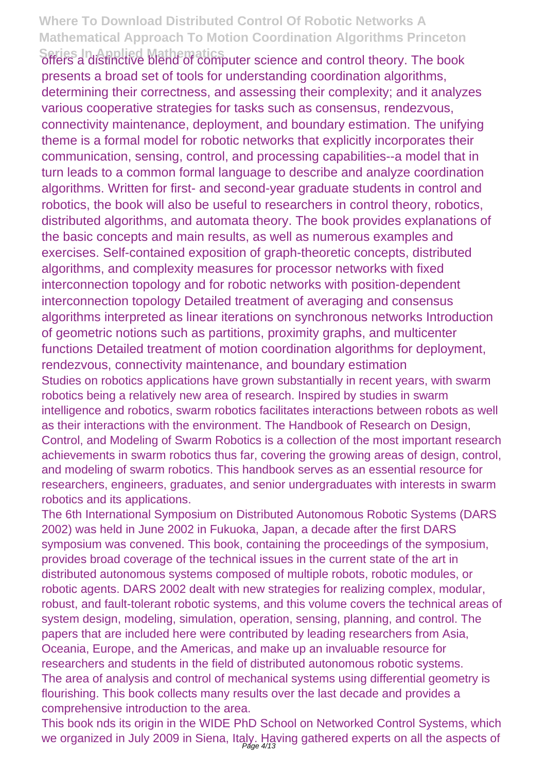**Series In Applied Mathematics** offers a distinctive blend of computer science and control theory. The book presents a broad set of tools for understanding coordination algorithms, determining their correctness, and assessing their complexity; and it analyzes various cooperative strategies for tasks such as consensus, rendezvous, connectivity maintenance, deployment, and boundary estimation. The unifying theme is a formal model for robotic networks that explicitly incorporates their communication, sensing, control, and processing capabilities--a model that in turn leads to a common formal language to describe and analyze coordination algorithms. Written for first- and second-year graduate students in control and robotics, the book will also be useful to researchers in control theory, robotics, distributed algorithms, and automata theory. The book provides explanations of the basic concepts and main results, as well as numerous examples and exercises. Self-contained exposition of graph-theoretic concepts, distributed algorithms, and complexity measures for processor networks with fixed interconnection topology and for robotic networks with position-dependent interconnection topology Detailed treatment of averaging and consensus algorithms interpreted as linear iterations on synchronous networks Introduction of geometric notions such as partitions, proximity graphs, and multicenter functions Detailed treatment of motion coordination algorithms for deployment, rendezvous, connectivity maintenance, and boundary estimation Studies on robotics applications have grown substantially in recent years, with swarm robotics being a relatively new area of research. Inspired by studies in swarm intelligence and robotics, swarm robotics facilitates interactions between robots as well as their interactions with the environment. The Handbook of Research on Design, Control, and Modeling of Swarm Robotics is a collection of the most important research achievements in swarm robotics thus far, covering the growing areas of design, control, and modeling of swarm robotics. This handbook serves as an essential resource for researchers, engineers, graduates, and senior undergraduates with interests in swarm robotics and its applications.

The 6th International Symposium on Distributed Autonomous Robotic Systems (DARS 2002) was held in June 2002 in Fukuoka, Japan, a decade after the first DARS symposium was convened. This book, containing the proceedings of the symposium, provides broad coverage of the technical issues in the current state of the art in distributed autonomous systems composed of multiple robots, robotic modules, or robotic agents. DARS 2002 dealt with new strategies for realizing complex, modular, robust, and fault-tolerant robotic systems, and this volume covers the technical areas of system design, modeling, simulation, operation, sensing, planning, and control. The papers that are included here were contributed by leading researchers from Asia, Oceania, Europe, and the Americas, and make up an invaluable resource for researchers and students in the field of distributed autonomous robotic systems. The area of analysis and control of mechanical systems using differential geometry is flourishing. This book collects many results over the last decade and provides a comprehensive introduction to the area.

This book nds its origin in the WIDE PhD School on Networked Control Systems, which we organized in July 2009 in Siena, Italy. Having gathered experts on all the aspects of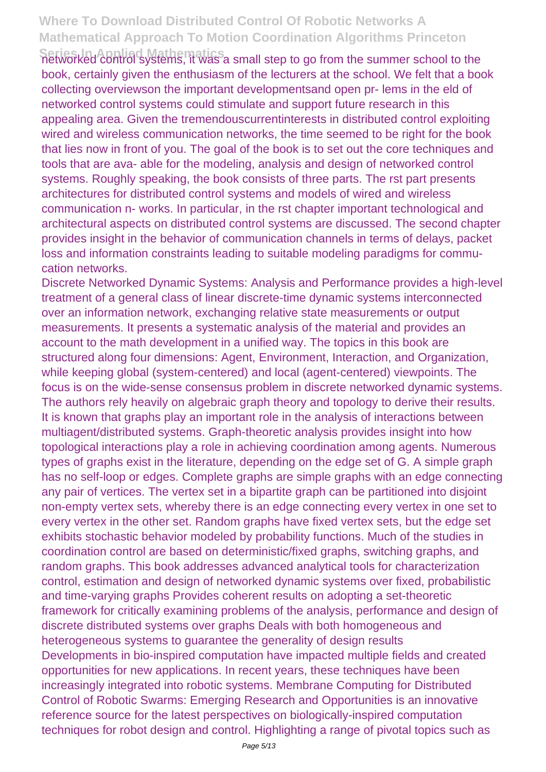**Series In Applied Mathematics**<br>networked control systems, it was a small step to go from the summer school to the book, certainly given the enthusiasm of the lecturers at the school. We felt that a book collecting overviewson the important developmentsand open pr- lems in the eld of networked control systems could stimulate and support future research in this appealing area. Given the tremendouscurrentinterests in distributed control exploiting wired and wireless communication networks, the time seemed to be right for the book that lies now in front of you. The goal of the book is to set out the core techniques and tools that are ava- able for the modeling, analysis and design of networked control systems. Roughly speaking, the book consists of three parts. The rst part presents architectures for distributed control systems and models of wired and wireless communication n- works. In particular, in the rst chapter important technological and architectural aspects on distributed control systems are discussed. The second chapter provides insight in the behavior of communication channels in terms of delays, packet loss and information constraints leading to suitable modeling paradigms for commucation networks.

Discrete Networked Dynamic Systems: Analysis and Performance provides a high-level treatment of a general class of linear discrete-time dynamic systems interconnected over an information network, exchanging relative state measurements or output measurements. It presents a systematic analysis of the material and provides an account to the math development in a unified way. The topics in this book are structured along four dimensions: Agent, Environment, Interaction, and Organization, while keeping global (system-centered) and local (agent-centered) viewpoints. The focus is on the wide-sense consensus problem in discrete networked dynamic systems. The authors rely heavily on algebraic graph theory and topology to derive their results. It is known that graphs play an important role in the analysis of interactions between multiagent/distributed systems. Graph-theoretic analysis provides insight into how topological interactions play a role in achieving coordination among agents. Numerous types of graphs exist in the literature, depending on the edge set of G. A simple graph has no self-loop or edges. Complete graphs are simple graphs with an edge connecting any pair of vertices. The vertex set in a bipartite graph can be partitioned into disjoint non-empty vertex sets, whereby there is an edge connecting every vertex in one set to every vertex in the other set. Random graphs have fixed vertex sets, but the edge set exhibits stochastic behavior modeled by probability functions. Much of the studies in coordination control are based on deterministic/fixed graphs, switching graphs, and random graphs. This book addresses advanced analytical tools for characterization control, estimation and design of networked dynamic systems over fixed, probabilistic and time-varying graphs Provides coherent results on adopting a set-theoretic framework for critically examining problems of the analysis, performance and design of discrete distributed systems over graphs Deals with both homogeneous and heterogeneous systems to guarantee the generality of design results Developments in bio-inspired computation have impacted multiple fields and created opportunities for new applications. In recent years, these techniques have been increasingly integrated into robotic systems. Membrane Computing for Distributed Control of Robotic Swarms: Emerging Research and Opportunities is an innovative reference source for the latest perspectives on biologically-inspired computation techniques for robot design and control. Highlighting a range of pivotal topics such as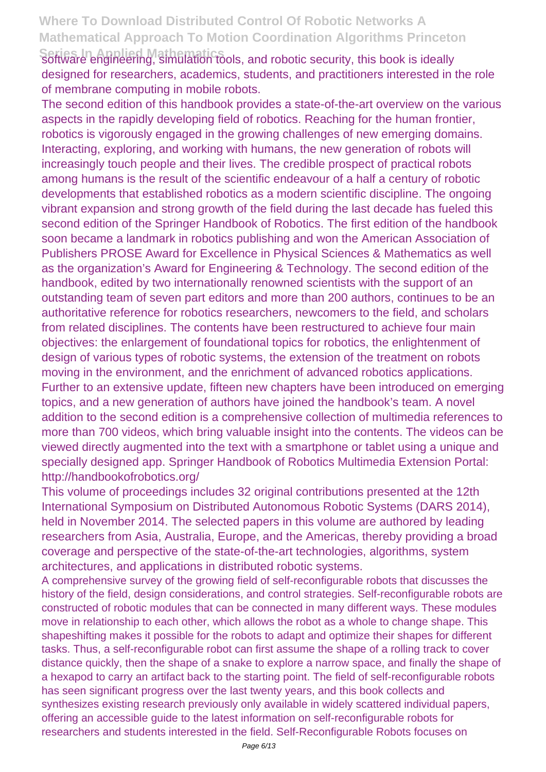**Series In Applied Mathematics**<br>Software engineering, simulation tools, and robotic security, this book is ideally designed for researchers, academics, students, and practitioners interested in the role of membrane computing in mobile robots.

The second edition of this handbook provides a state-of-the-art overview on the various aspects in the rapidly developing field of robotics. Reaching for the human frontier, robotics is vigorously engaged in the growing challenges of new emerging domains. Interacting, exploring, and working with humans, the new generation of robots will increasingly touch people and their lives. The credible prospect of practical robots among humans is the result of the scientific endeavour of a half a century of robotic developments that established robotics as a modern scientific discipline. The ongoing vibrant expansion and strong growth of the field during the last decade has fueled this second edition of the Springer Handbook of Robotics. The first edition of the handbook soon became a landmark in robotics publishing and won the American Association of Publishers PROSE Award for Excellence in Physical Sciences & Mathematics as well as the organization's Award for Engineering & Technology. The second edition of the handbook, edited by two internationally renowned scientists with the support of an outstanding team of seven part editors and more than 200 authors, continues to be an authoritative reference for robotics researchers, newcomers to the field, and scholars from related disciplines. The contents have been restructured to achieve four main objectives: the enlargement of foundational topics for robotics, the enlightenment of design of various types of robotic systems, the extension of the treatment on robots moving in the environment, and the enrichment of advanced robotics applications. Further to an extensive update, fifteen new chapters have been introduced on emerging topics, and a new generation of authors have joined the handbook's team. A novel addition to the second edition is a comprehensive collection of multimedia references to more than 700 videos, which bring valuable insight into the contents. The videos can be viewed directly augmented into the text with a smartphone or tablet using a unique and specially designed app. Springer Handbook of Robotics Multimedia Extension Portal: http://handbookofrobotics.org/

This volume of proceedings includes 32 original contributions presented at the 12th International Symposium on Distributed Autonomous Robotic Systems (DARS 2014), held in November 2014. The selected papers in this volume are authored by leading researchers from Asia, Australia, Europe, and the Americas, thereby providing a broad coverage and perspective of the state-of-the-art technologies, algorithms, system architectures, and applications in distributed robotic systems.

A comprehensive survey of the growing field of self-reconfigurable robots that discusses the history of the field, design considerations, and control strategies. Self-reconfigurable robots are constructed of robotic modules that can be connected in many different ways. These modules move in relationship to each other, which allows the robot as a whole to change shape. This shapeshifting makes it possible for the robots to adapt and optimize their shapes for different tasks. Thus, a self-reconfigurable robot can first assume the shape of a rolling track to cover distance quickly, then the shape of a snake to explore a narrow space, and finally the shape of a hexapod to carry an artifact back to the starting point. The field of self-reconfigurable robots has seen significant progress over the last twenty years, and this book collects and synthesizes existing research previously only available in widely scattered individual papers, offering an accessible guide to the latest information on self-reconfigurable robots for researchers and students interested in the field. Self-Reconfigurable Robots focuses on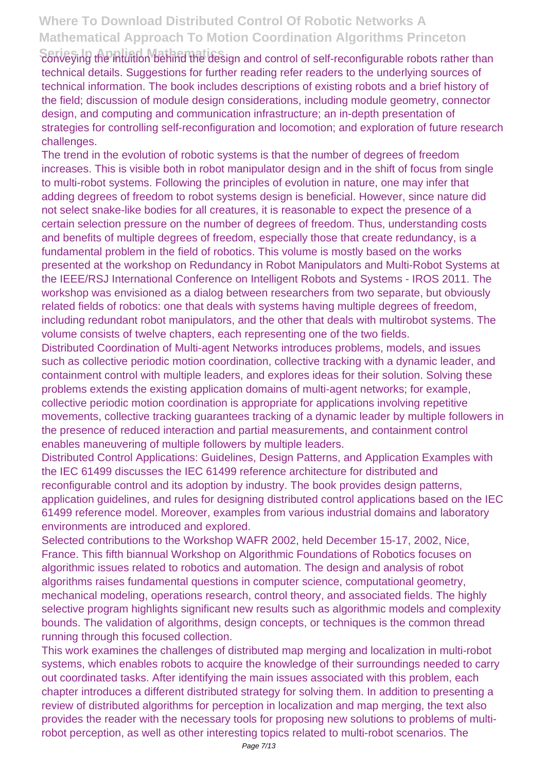Serieving the intuition behind the design and control of self-reconfigurable robots rather than technical details. Suggestions for further reading refer readers to the underlying sources of technical information. The book includes descriptions of existing robots and a brief history of the field; discussion of module design considerations, including module geometry, connector design, and computing and communication infrastructure; an in-depth presentation of strategies for controlling self-reconfiguration and locomotion; and exploration of future research challenges.

The trend in the evolution of robotic systems is that the number of degrees of freedom increases. This is visible both in robot manipulator design and in the shift of focus from single to multi-robot systems. Following the principles of evolution in nature, one may infer that adding degrees of freedom to robot systems design is beneficial. However, since nature did not select snake-like bodies for all creatures, it is reasonable to expect the presence of a certain selection pressure on the number of degrees of freedom. Thus, understanding costs and benefits of multiple degrees of freedom, especially those that create redundancy, is a fundamental problem in the field of robotics. This volume is mostly based on the works presented at the workshop on Redundancy in Robot Manipulators and Multi-Robot Systems at the IEEE/RSJ International Conference on Intelligent Robots and Systems - IROS 2011. The workshop was envisioned as a dialog between researchers from two separate, but obviously related fields of robotics: one that deals with systems having multiple degrees of freedom, including redundant robot manipulators, and the other that deals with multirobot systems. The volume consists of twelve chapters, each representing one of the two fields.

Distributed Coordination of Multi-agent Networks introduces problems, models, and issues such as collective periodic motion coordination, collective tracking with a dynamic leader, and containment control with multiple leaders, and explores ideas for their solution. Solving these problems extends the existing application domains of multi-agent networks; for example, collective periodic motion coordination is appropriate for applications involving repetitive movements, collective tracking guarantees tracking of a dynamic leader by multiple followers in the presence of reduced interaction and partial measurements, and containment control enables maneuvering of multiple followers by multiple leaders.

Distributed Control Applications: Guidelines, Design Patterns, and Application Examples with the IEC 61499 discusses the IEC 61499 reference architecture for distributed and reconfigurable control and its adoption by industry. The book provides design patterns, application guidelines, and rules for designing distributed control applications based on the IEC 61499 reference model. Moreover, examples from various industrial domains and laboratory environments are introduced and explored.

Selected contributions to the Workshop WAFR 2002, held December 15-17, 2002, Nice, France. This fifth biannual Workshop on Algorithmic Foundations of Robotics focuses on algorithmic issues related to robotics and automation. The design and analysis of robot algorithms raises fundamental questions in computer science, computational geometry, mechanical modeling, operations research, control theory, and associated fields. The highly selective program highlights significant new results such as algorithmic models and complexity bounds. The validation of algorithms, design concepts, or techniques is the common thread running through this focused collection.

This work examines the challenges of distributed map merging and localization in multi-robot systems, which enables robots to acquire the knowledge of their surroundings needed to carry out coordinated tasks. After identifying the main issues associated with this problem, each chapter introduces a different distributed strategy for solving them. In addition to presenting a review of distributed algorithms for perception in localization and map merging, the text also provides the reader with the necessary tools for proposing new solutions to problems of multirobot perception, as well as other interesting topics related to multi-robot scenarios. The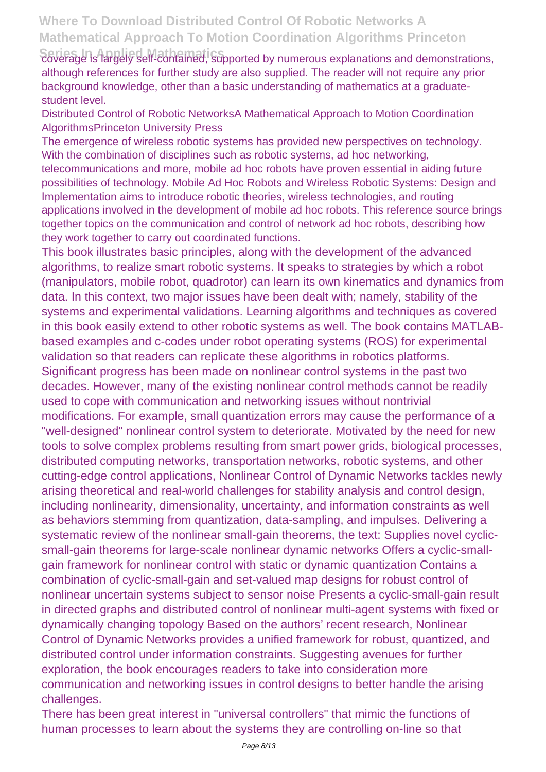Series In Applied Mathematics<br>coverage is largely self-contained, supported by numerous explanations and demonstrations, although references for further study are also supplied. The reader will not require any prior background knowledge, other than a basic understanding of mathematics at a graduatestudent level.

Distributed Control of Robotic NetworksA Mathematical Approach to Motion Coordination AlgorithmsPrinceton University Press

The emergence of wireless robotic systems has provided new perspectives on technology. With the combination of disciplines such as robotic systems, ad hoc networking, telecommunications and more, mobile ad hoc robots have proven essential in aiding future possibilities of technology. Mobile Ad Hoc Robots and Wireless Robotic Systems: Design and Implementation aims to introduce robotic theories, wireless technologies, and routing applications involved in the development of mobile ad hoc robots. This reference source brings together topics on the communication and control of network ad hoc robots, describing how they work together to carry out coordinated functions.

This book illustrates basic principles, along with the development of the advanced algorithms, to realize smart robotic systems. It speaks to strategies by which a robot (manipulators, mobile robot, quadrotor) can learn its own kinematics and dynamics from data. In this context, two major issues have been dealt with; namely, stability of the systems and experimental validations. Learning algorithms and techniques as covered in this book easily extend to other robotic systems as well. The book contains MATLABbased examples and c-codes under robot operating systems (ROS) for experimental validation so that readers can replicate these algorithms in robotics platforms. Significant progress has been made on nonlinear control systems in the past two decades. However, many of the existing nonlinear control methods cannot be readily used to cope with communication and networking issues without nontrivial modifications. For example, small quantization errors may cause the performance of a "well-designed" nonlinear control system to deteriorate. Motivated by the need for new tools to solve complex problems resulting from smart power grids, biological processes, distributed computing networks, transportation networks, robotic systems, and other cutting-edge control applications, Nonlinear Control of Dynamic Networks tackles newly arising theoretical and real-world challenges for stability analysis and control design, including nonlinearity, dimensionality, uncertainty, and information constraints as well as behaviors stemming from quantization, data-sampling, and impulses. Delivering a systematic review of the nonlinear small-gain theorems, the text: Supplies novel cyclicsmall-gain theorems for large-scale nonlinear dynamic networks Offers a cyclic-smallgain framework for nonlinear control with static or dynamic quantization Contains a combination of cyclic-small-gain and set-valued map designs for robust control of nonlinear uncertain systems subject to sensor noise Presents a cyclic-small-gain result in directed graphs and distributed control of nonlinear multi-agent systems with fixed or dynamically changing topology Based on the authors' recent research, Nonlinear Control of Dynamic Networks provides a unified framework for robust, quantized, and distributed control under information constraints. Suggesting avenues for further exploration, the book encourages readers to take into consideration more communication and networking issues in control designs to better handle the arising challenges.

There has been great interest in "universal controllers" that mimic the functions of human processes to learn about the systems they are controlling on-line so that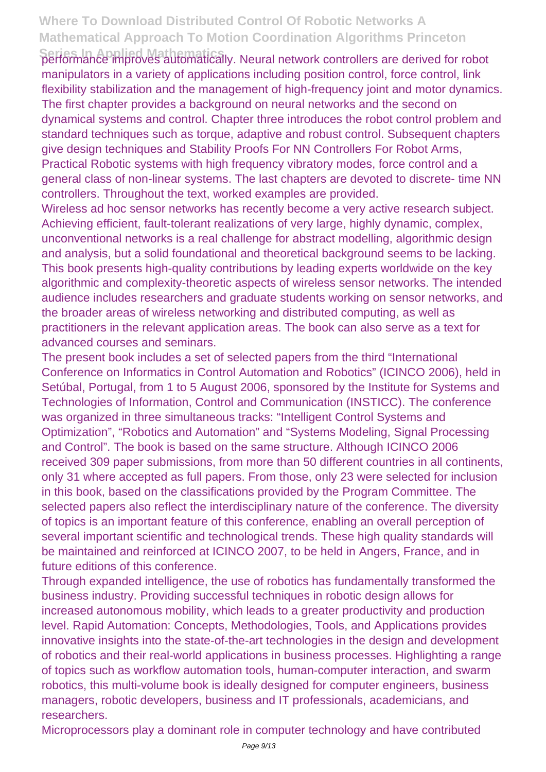Series In Applied Mathematics<br>performance improves automatically. Neural network controllers are derived for robot manipulators in a variety of applications including position control, force control, link flexibility stabilization and the management of high-frequency joint and motor dynamics. The first chapter provides a background on neural networks and the second on dynamical systems and control. Chapter three introduces the robot control problem and standard techniques such as torque, adaptive and robust control. Subsequent chapters give design techniques and Stability Proofs For NN Controllers For Robot Arms, Practical Robotic systems with high frequency vibratory modes, force control and a general class of non-linear systems. The last chapters are devoted to discrete- time NN controllers. Throughout the text, worked examples are provided.

Wireless ad hoc sensor networks has recently become a very active research subject. Achieving efficient, fault-tolerant realizations of very large, highly dynamic, complex, unconventional networks is a real challenge for abstract modelling, algorithmic design and analysis, but a solid foundational and theoretical background seems to be lacking. This book presents high-quality contributions by leading experts worldwide on the key algorithmic and complexity-theoretic aspects of wireless sensor networks. The intended audience includes researchers and graduate students working on sensor networks, and the broader areas of wireless networking and distributed computing, as well as practitioners in the relevant application areas. The book can also serve as a text for advanced courses and seminars.

The present book includes a set of selected papers from the third "International Conference on Informatics in Control Automation and Robotics" (ICINCO 2006), held in Setúbal, Portugal, from 1 to 5 August 2006, sponsored by the Institute for Systems and Technologies of Information, Control and Communication (INSTICC). The conference was organized in three simultaneous tracks: "Intelligent Control Systems and Optimization", "Robotics and Automation" and "Systems Modeling, Signal Processing and Control". The book is based on the same structure. Although ICINCO 2006 received 309 paper submissions, from more than 50 different countries in all continents, only 31 where accepted as full papers. From those, only 23 were selected for inclusion in this book, based on the classifications provided by the Program Committee. The selected papers also reflect the interdisciplinary nature of the conference. The diversity of topics is an important feature of this conference, enabling an overall perception of several important scientific and technological trends. These high quality standards will be maintained and reinforced at ICINCO 2007, to be held in Angers, France, and in future editions of this conference.

Through expanded intelligence, the use of robotics has fundamentally transformed the business industry. Providing successful techniques in robotic design allows for increased autonomous mobility, which leads to a greater productivity and production level. Rapid Automation: Concepts, Methodologies, Tools, and Applications provides innovative insights into the state-of-the-art technologies in the design and development of robotics and their real-world applications in business processes. Highlighting a range of topics such as workflow automation tools, human-computer interaction, and swarm robotics, this multi-volume book is ideally designed for computer engineers, business managers, robotic developers, business and IT professionals, academicians, and researchers.

Microprocessors play a dominant role in computer technology and have contributed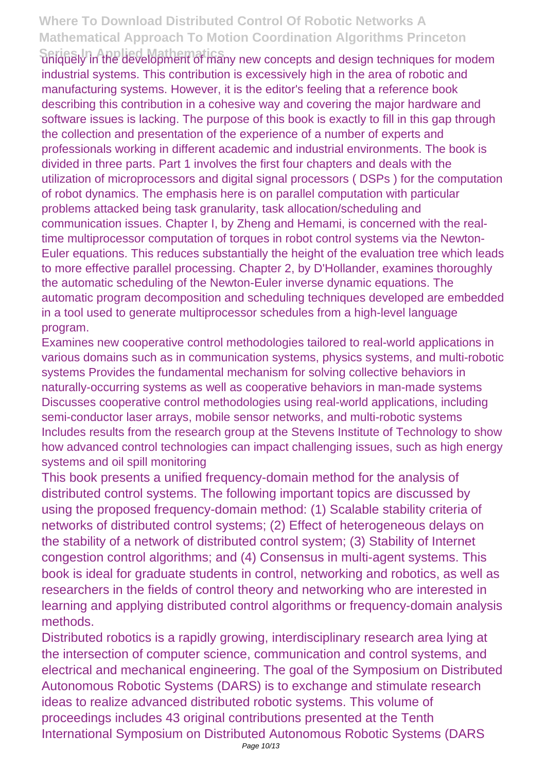**Series In Applied Mathematics**<br>
uniquely in the development of many new concepts and design techniques for modem industrial systems. This contribution is excessively high in the area of robotic and manufacturing systems. However, it is the editor's feeling that a reference book describing this contribution in a cohesive way and covering the major hardware and software issues is lacking. The purpose of this book is exactly to fill in this gap through the collection and presentation of the experience of a number of experts and professionals working in different academic and industrial environments. The book is divided in three parts. Part 1 involves the first four chapters and deals with the utilization of microprocessors and digital signal processors ( DSPs ) for the computation of robot dynamics. The emphasis here is on parallel computation with particular problems attacked being task granularity, task allocation/scheduling and communication issues. Chapter I, by Zheng and Hemami, is concerned with the realtime multiprocessor computation of torques in robot control systems via the Newton-Euler equations. This reduces substantially the height of the evaluation tree which leads to more effective parallel processing. Chapter 2, by D'Hollander, examines thoroughly the automatic scheduling of the Newton-Euler inverse dynamic equations. The automatic program decomposition and scheduling techniques developed are embedded in a tool used to generate multiprocessor schedules from a high-level language program.

Examines new cooperative control methodologies tailored to real-world applications in various domains such as in communication systems, physics systems, and multi-robotic systems Provides the fundamental mechanism for solving collective behaviors in naturally-occurring systems as well as cooperative behaviors in man-made systems Discusses cooperative control methodologies using real-world applications, including semi-conductor laser arrays, mobile sensor networks, and multi-robotic systems Includes results from the research group at the Stevens Institute of Technology to show how advanced control technologies can impact challenging issues, such as high energy systems and oil spill monitoring

This book presents a unified frequency-domain method for the analysis of distributed control systems. The following important topics are discussed by using the proposed frequency-domain method: (1) Scalable stability criteria of networks of distributed control systems; (2) Effect of heterogeneous delays on the stability of a network of distributed control system; (3) Stability of Internet congestion control algorithms; and (4) Consensus in multi-agent systems. This book is ideal for graduate students in control, networking and robotics, as well as researchers in the fields of control theory and networking who are interested in learning and applying distributed control algorithms or frequency-domain analysis methods.

Distributed robotics is a rapidly growing, interdisciplinary research area lying at the intersection of computer science, communication and control systems, and electrical and mechanical engineering. The goal of the Symposium on Distributed Autonomous Robotic Systems (DARS) is to exchange and stimulate research ideas to realize advanced distributed robotic systems. This volume of proceedings includes 43 original contributions presented at the Tenth International Symposium on Distributed Autonomous Robotic Systems (DARS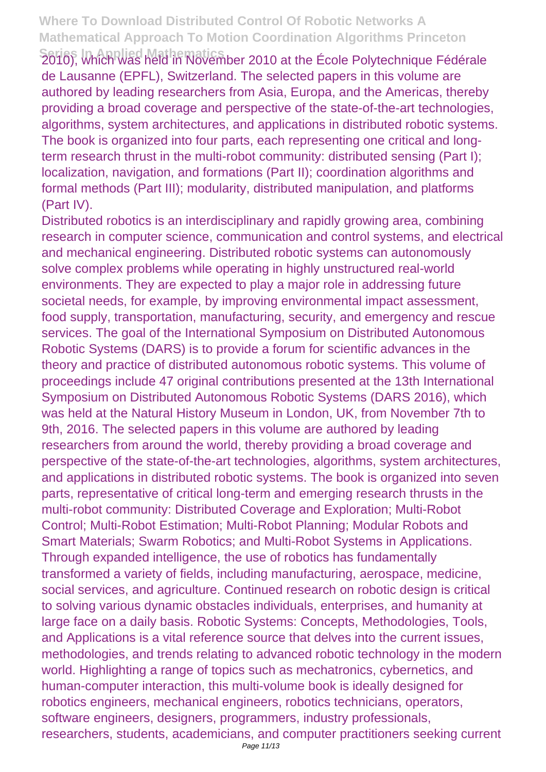Series Un Applied Mathematics<br>2010), Which Was held in November 2010 at the École Polytechnique Fédérale de Lausanne (EPFL), Switzerland. The selected papers in this volume are authored by leading researchers from Asia, Europa, and the Americas, thereby providing a broad coverage and perspective of the state-of-the-art technologies, algorithms, system architectures, and applications in distributed robotic systems. The book is organized into four parts, each representing one critical and longterm research thrust in the multi-robot community: distributed sensing (Part I); localization, navigation, and formations (Part II); coordination algorithms and formal methods (Part III); modularity, distributed manipulation, and platforms (Part IV).

Distributed robotics is an interdisciplinary and rapidly growing area, combining research in computer science, communication and control systems, and electrical and mechanical engineering. Distributed robotic systems can autonomously solve complex problems while operating in highly unstructured real-world environments. They are expected to play a major role in addressing future societal needs, for example, by improving environmental impact assessment, food supply, transportation, manufacturing, security, and emergency and rescue services. The goal of the International Symposium on Distributed Autonomous Robotic Systems (DARS) is to provide a forum for scientific advances in the theory and practice of distributed autonomous robotic systems. This volume of proceedings include 47 original contributions presented at the 13th International Symposium on Distributed Autonomous Robotic Systems (DARS 2016), which was held at the Natural History Museum in London, UK, from November 7th to 9th, 2016. The selected papers in this volume are authored by leading researchers from around the world, thereby providing a broad coverage and perspective of the state-of-the-art technologies, algorithms, system architectures, and applications in distributed robotic systems. The book is organized into seven parts, representative of critical long-term and emerging research thrusts in the multi-robot community: Distributed Coverage and Exploration; Multi-Robot Control; Multi-Robot Estimation; Multi-Robot Planning; Modular Robots and Smart Materials; Swarm Robotics; and Multi-Robot Systems in Applications. Through expanded intelligence, the use of robotics has fundamentally transformed a variety of fields, including manufacturing, aerospace, medicine, social services, and agriculture. Continued research on robotic design is critical to solving various dynamic obstacles individuals, enterprises, and humanity at large face on a daily basis. Robotic Systems: Concepts, Methodologies, Tools, and Applications is a vital reference source that delves into the current issues, methodologies, and trends relating to advanced robotic technology in the modern world. Highlighting a range of topics such as mechatronics, cybernetics, and human-computer interaction, this multi-volume book is ideally designed for robotics engineers, mechanical engineers, robotics technicians, operators, software engineers, designers, programmers, industry professionals, researchers, students, academicians, and computer practitioners seeking current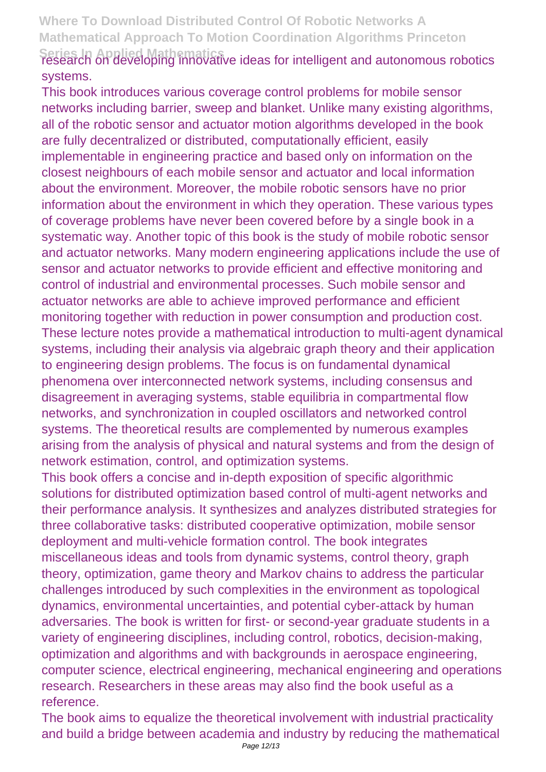# Series In Applied Mathematics<br>research on developing innovative ideas for intelligent and autonomous robotics systems.

This book introduces various coverage control problems for mobile sensor networks including barrier, sweep and blanket. Unlike many existing algorithms, all of the robotic sensor and actuator motion algorithms developed in the book are fully decentralized or distributed, computationally efficient, easily implementable in engineering practice and based only on information on the closest neighbours of each mobile sensor and actuator and local information about the environment. Moreover, the mobile robotic sensors have no prior information about the environment in which they operation. These various types of coverage problems have never been covered before by a single book in a systematic way. Another topic of this book is the study of mobile robotic sensor and actuator networks. Many modern engineering applications include the use of sensor and actuator networks to provide efficient and effective monitoring and control of industrial and environmental processes. Such mobile sensor and actuator networks are able to achieve improved performance and efficient monitoring together with reduction in power consumption and production cost. These lecture notes provide a mathematical introduction to multi-agent dynamical systems, including their analysis via algebraic graph theory and their application to engineering design problems. The focus is on fundamental dynamical phenomena over interconnected network systems, including consensus and disagreement in averaging systems, stable equilibria in compartmental flow networks, and synchronization in coupled oscillators and networked control systems. The theoretical results are complemented by numerous examples arising from the analysis of physical and natural systems and from the design of network estimation, control, and optimization systems.

This book offers a concise and in-depth exposition of specific algorithmic solutions for distributed optimization based control of multi-agent networks and their performance analysis. It synthesizes and analyzes distributed strategies for three collaborative tasks: distributed cooperative optimization, mobile sensor deployment and multi-vehicle formation control. The book integrates miscellaneous ideas and tools from dynamic systems, control theory, graph theory, optimization, game theory and Markov chains to address the particular challenges introduced by such complexities in the environment as topological dynamics, environmental uncertainties, and potential cyber-attack by human adversaries. The book is written for first- or second-year graduate students in a variety of engineering disciplines, including control, robotics, decision-making, optimization and algorithms and with backgrounds in aerospace engineering, computer science, electrical engineering, mechanical engineering and operations research. Researchers in these areas may also find the book useful as a reference.

The book aims to equalize the theoretical involvement with industrial practicality and build a bridge between academia and industry by reducing the mathematical Page 12/13